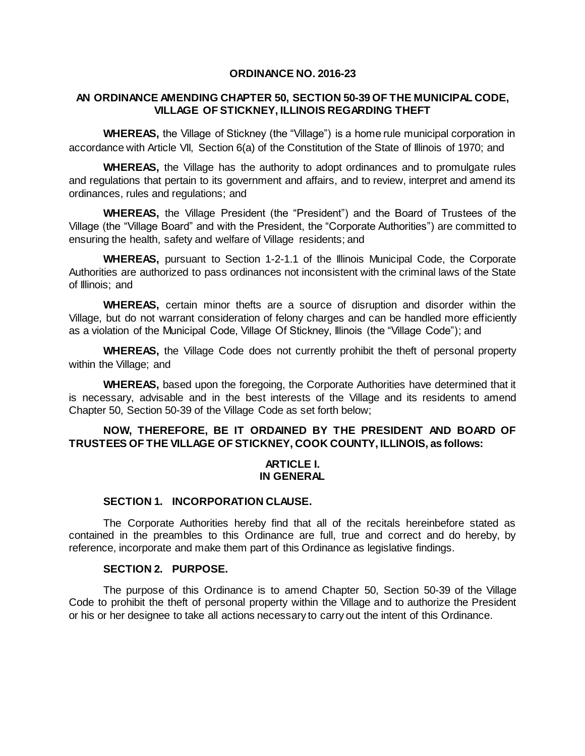#### **ORDINANCE NO. 2016-23**

# **AN ORDINANCE AMENDING CHAPTER 50, SECTION 50-39 OF THE MUNICIPAL CODE, VILLAGE OF STICKNEY, ILLINOIS REGARDING THEFT**

**WHEREAS,** the Village of Stickney (the "Village") is a home rule municipal corporation in accordance with Article VII, Section 6(a) of the Constitution of the State of Illinois of 1970; and

**WHEREAS,** the Village has the authority to adopt ordinances and to promulgate rules and regulations that pertain to its government and affairs, and to review, interpret and amend its ordinances, rules and regulations; and

**WHEREAS,** the Village President (the "President") and the Board of Trustees of the Village (the "Village Board" and with the President, the "Corporate Authorities") are committed to ensuring the health, safety and welfare of Village residents; and

**WHEREAS,** pursuant to Section 1-2-1.1 of the Illinois Municipal Code, the Corporate Authorities are authorized to pass ordinances not inconsistent with the criminal laws of the State of Illinois; and

**WHEREAS,** certain minor thefts are a source of disruption and disorder within the Village, but do not warrant consideration of felony charges and can be handled more efficiently as a violation of the Municipal Code, Village Of Stickney, Illinois (the "Village Code"); and

**WHEREAS,** the Village Code does not currently prohibit the theft of personal property within the Village; and

**WHEREAS,** based upon the foregoing, the Corporate Authorities have determined that it is necessary, advisable and in the best interests of the Village and its residents to amend Chapter 50, Section 50-39 of the Village Code as set forth below;

# **NOW, THEREFORE, BE IT ORDAINED BY THE PRESIDENT AND BOARD OF TRUSTEES OF THE VILLAGE OF STICKNEY, COOK COUNTY, ILLINOIS, as follows:**

## **ARTICLE I. IN GENERAL**

### **SECTION 1. INCORPORATION CLAUSE.**

The Corporate Authorities hereby find that all of the recitals hereinbefore stated as contained in the preambles to this Ordinance are full, true and correct and do hereby, by reference, incorporate and make them part of this Ordinance as legislative findings.

## **SECTION 2. PURPOSE.**

The purpose of this Ordinance is to amend Chapter 50, Section 50-39 of the Village Code to prohibit the theft of personal property within the Village and to authorize the President or his or her designee to take all actions necessary to carry out the intent of this Ordinance.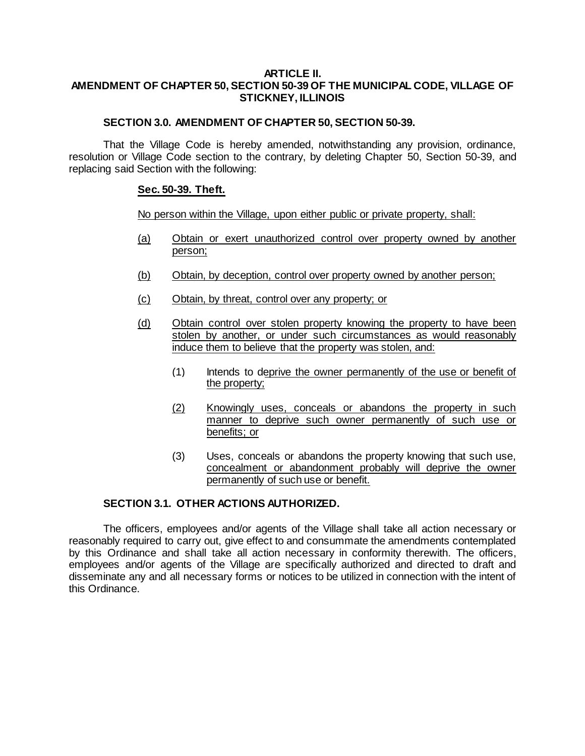## **ARTICLE II. AMENDMENT OF CHAPTER 50, SECTION 50-39 OF THE MUNICIPAL CODE, VILLAGE OF STICKNEY, ILLINOIS**

# **SECTION 3.0. AMENDMENT OF CHAPTER 50, SECTION 50-39.**

That the Village Code is hereby amended, notwithstanding any provision, ordinance, resolution or Village Code section to the contrary, by deleting Chapter 50, Section 50-39, and replacing said Section with the following:

## **Sec. 50-39. Theft.**

No person within the Village, upon either public or private property, shall:

- (a) Obtain or exert unauthorized control over property owned by another person;
- (b) Obtain, by deception, control over property owned by another person;
- (c) Obtain, by threat, control over any property; or
- (d) Obtain control over stolen property knowing the property to have been stolen by another, or under such circumstances as would reasonably induce them to believe that the property was stolen, and:
	- (1) Intends to deprive the owner permanently of the use or benefit of the property;
	- (2) Knowingly uses, conceals or abandons the property in such manner to deprive such owner permanently of such use or benefits; or
	- (3) Uses, conceals or abandons the property knowing that such use, concealment or abandonment probably will deprive the owner permanently of such use or benefit.

# **SECTION 3.1. OTHER ACTIONS AUTHORIZED.**

The officers, employees and/or agents of the Village shall take all action necessary or reasonably required to carry out, give effect to and consummate the amendments contemplated by this Ordinance and shall take all action necessary in conformity therewith. The officers, employees and/or agents of the Village are specifically authorized and directed to draft and disseminate any and all necessary forms or notices to be utilized in connection with the intent of this Ordinance.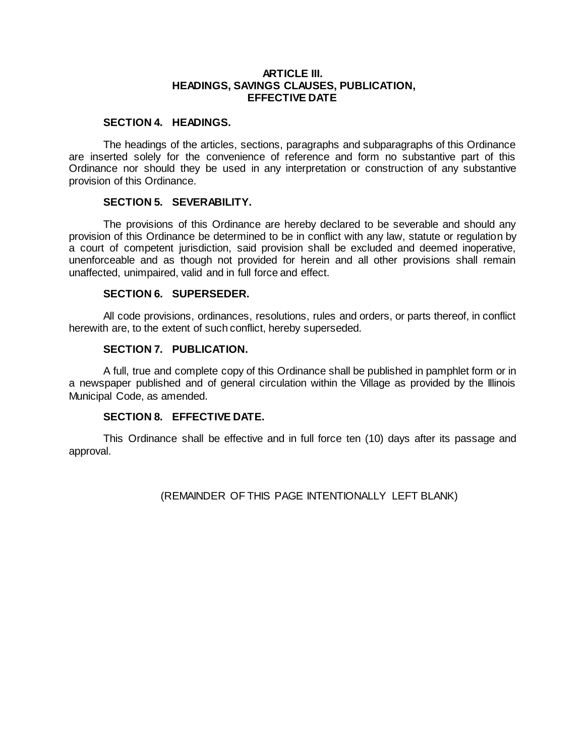### **ARTICLE III. HEADINGS, SAVINGS CLAUSES, PUBLICATION, EFFECTIVE DATE**

#### **SECTION 4. HEADINGS.**

The headings of the articles, sections, paragraphs and subparagraphs of this Ordinance are inserted solely for the convenience of reference and form no substantive part of this Ordinance nor should they be used in any interpretation or construction of any substantive provision of this Ordinance.

### **SECTION 5. SEVERABILITY.**

The provisions of this Ordinance are hereby declared to be severable and should any provision of this Ordinance be determined to be in conflict with any law, statute or regulation by a court of competent jurisdiction, said provision shall be excluded and deemed inoperative, unenforceable and as though not provided for herein and all other provisions shall remain unaffected, unimpaired, valid and in full force and effect.

## **SECTION 6. SUPERSEDER.**

All code provisions, ordinances, resolutions, rules and orders, or parts thereof, in conflict herewith are, to the extent of such conflict, hereby superseded.

## **SECTION 7. PUBLICATION.**

A full, true and complete copy of this Ordinance shall be published in pamphlet form or in a newspaper published and of general circulation within the Village as provided by the Illinois Municipal Code, as amended.

# **SECTION 8. EFFECTIVE DATE.**

This Ordinance shall be effective and in full force ten (10) days after its passage and approval.

(REMAINDER OF THIS PAGE INTENTIONALLY LEFT BLANK)